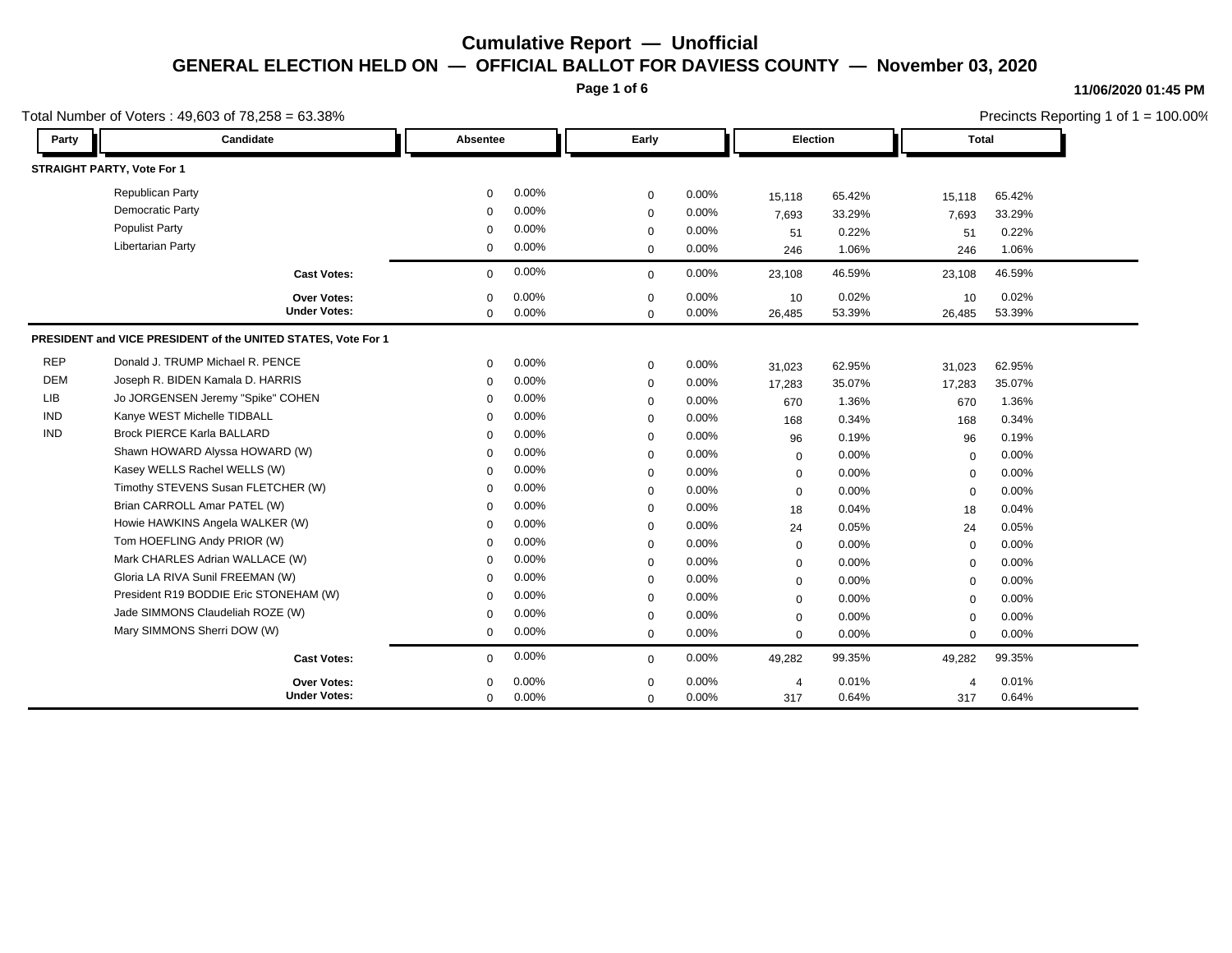**Page 1 of 6**

### **11/06/2020 01:45 PM**

|            | Total Number of Voters: 49,603 of 78,258 = 63.38%<br>Candidate<br>Early<br>Election<br>Party<br>Absentee |             |       |              |       |                |        |                | Precincts Reporting 1 of $1 = 100.00\%$<br><b>Total</b> |  |
|------------|----------------------------------------------------------------------------------------------------------|-------------|-------|--------------|-------|----------------|--------|----------------|---------------------------------------------------------|--|
|            |                                                                                                          |             |       |              |       |                |        |                |                                                         |  |
|            | <b>STRAIGHT PARTY, Vote For 1</b>                                                                        |             |       |              |       |                |        |                |                                                         |  |
|            | <b>Republican Party</b>                                                                                  | $\Omega$    | 0.00% | $\mathbf 0$  | 0.00% | 15,118         | 65.42% | 15,118         | 65.42%                                                  |  |
|            | <b>Democratic Party</b>                                                                                  | $\Omega$    | 0.00% | $\mathbf 0$  | 0.00% | 7,693          | 33.29% | 7,693          | 33.29%                                                  |  |
|            | <b>Populist Party</b>                                                                                    | $\Omega$    | 0.00% | $\mathbf 0$  | 0.00% | 51             | 0.22%  | 51             | 0.22%                                                   |  |
|            | <b>Libertarian Party</b>                                                                                 | $\mathbf 0$ | 0.00% | $\mathbf 0$  | 0.00% | 246            | 1.06%  | 246            | 1.06%                                                   |  |
|            | <b>Cast Votes:</b>                                                                                       | $\mathbf 0$ | 0.00% | $\mathbf{0}$ | 0.00% | 23,108         | 46.59% | 23,108         | 46.59%                                                  |  |
|            | Over Votes:                                                                                              | $\mathbf 0$ | 0.00% | $\mathbf 0$  | 0.00% | 10             | 0.02%  | 10             | 0.02%                                                   |  |
|            | <b>Under Votes:</b>                                                                                      | $\mathbf 0$ | 0.00% | $\mathbf 0$  | 0.00% | 26,485         | 53.39% | 26,485         | 53.39%                                                  |  |
|            | PRESIDENT and VICE PRESIDENT of the UNITED STATES, Vote For 1                                            |             |       |              |       |                |        |                |                                                         |  |
| <b>REP</b> | Donald J. TRUMP Michael R. PENCE                                                                         | $\Omega$    | 0.00% | $\mathbf 0$  | 0.00% | 31,023         | 62.95% | 31,023         | 62.95%                                                  |  |
| <b>DEM</b> | Joseph R. BIDEN Kamala D. HARRIS                                                                         | $\Omega$    | 0.00% | $\mathbf 0$  | 0.00% | 17,283         | 35.07% | 17,283         | 35.07%                                                  |  |
| <b>LIB</b> | Jo JORGENSEN Jeremy "Spike" COHEN                                                                        | $\Omega$    | 0.00% | $\mathbf 0$  | 0.00% | 670            | 1.36%  | 670            | 1.36%                                                   |  |
| <b>IND</b> | Kanye WEST Michelle TIDBALL                                                                              | $\Omega$    | 0.00% | $\mathbf 0$  | 0.00% | 168            | 0.34%  | 168            | 0.34%                                                   |  |
| <b>IND</b> | <b>Brock PIERCE Karla BALLARD</b>                                                                        | $\Omega$    | 0.00% | $\mathbf 0$  | 0.00% | 96             | 0.19%  | 96             | 0.19%                                                   |  |
|            | Shawn HOWARD Alyssa HOWARD (W)                                                                           | $\Omega$    | 0.00% | $\mathbf 0$  | 0.00% | $\mathbf 0$    | 0.00%  | $\mathbf 0$    | 0.00%                                                   |  |
|            | Kasey WELLS Rachel WELLS (W)                                                                             | $\mathbf 0$ | 0.00% | $\mathbf 0$  | 0.00% | $\mathbf 0$    | 0.00%  | 0              | 0.00%                                                   |  |
|            | Timothy STEVENS Susan FLETCHER (W)                                                                       | $\mathbf 0$ | 0.00% | $\mathbf 0$  | 0.00% | $\mathbf 0$    | 0.00%  | $\mathbf 0$    | 0.00%                                                   |  |
|            | Brian CARROLL Amar PATEL (W)                                                                             | $\Omega$    | 0.00% | $\mathbf 0$  | 0.00% | 18             | 0.04%  | 18             | 0.04%                                                   |  |
|            | Howie HAWKINS Angela WALKER (W)                                                                          | $\Omega$    | 0.00% | $\mathbf 0$  | 0.00% | 24             | 0.05%  | 24             | 0.05%                                                   |  |
|            | Tom HOEFLING Andy PRIOR (W)                                                                              | $\Omega$    | 0.00% | $\mathbf 0$  | 0.00% | $\mathbf 0$    | 0.00%  | 0              | 0.00%                                                   |  |
|            | Mark CHARLES Adrian WALLACE (W)                                                                          | $\mathbf 0$ | 0.00% | $\mathbf 0$  | 0.00% | $\mathbf 0$    | 0.00%  | $\mathbf 0$    | 0.00%                                                   |  |
|            | Gloria LA RIVA Sunil FREEMAN (W)                                                                         | $\mathbf 0$ | 0.00% | $\mathbf 0$  | 0.00% | $\mathbf 0$    | 0.00%  | $\mathbf 0$    | 0.00%                                                   |  |
|            | President R19 BODDIE Eric STONEHAM (W)                                                                   | $\Omega$    | 0.00% | $\mathbf 0$  | 0.00% | $\mathbf 0$    | 0.00%  | $\Omega$       | 0.00%                                                   |  |
|            | Jade SIMMONS Claudeliah ROZE (W)                                                                         | $\Omega$    | 0.00% | $\mathbf 0$  | 0.00% | 0              | 0.00%  | $\Omega$       | 0.00%                                                   |  |
|            | Mary SIMMONS Sherri DOW (W)                                                                              | $\mathbf 0$ | 0.00% | $\mathbf 0$  | 0.00% | $\Omega$       | 0.00%  | $\mathbf 0$    | 0.00%                                                   |  |
|            | <b>Cast Votes:</b>                                                                                       | $\mathbf 0$ | 0.00% | $\mathbf{0}$ | 0.00% | 49,282         | 99.35% | 49,282         | 99.35%                                                  |  |
|            | Over Votes:                                                                                              | $\Omega$    | 0.00% | $\mathbf 0$  | 0.00% | $\overline{4}$ | 0.01%  | $\overline{4}$ | 0.01%                                                   |  |
|            | <b>Under Votes:</b>                                                                                      | $\mathbf 0$ | 0.00% | $\Omega$     | 0.00% | 317            | 0.64%  | 317            | 0.64%                                                   |  |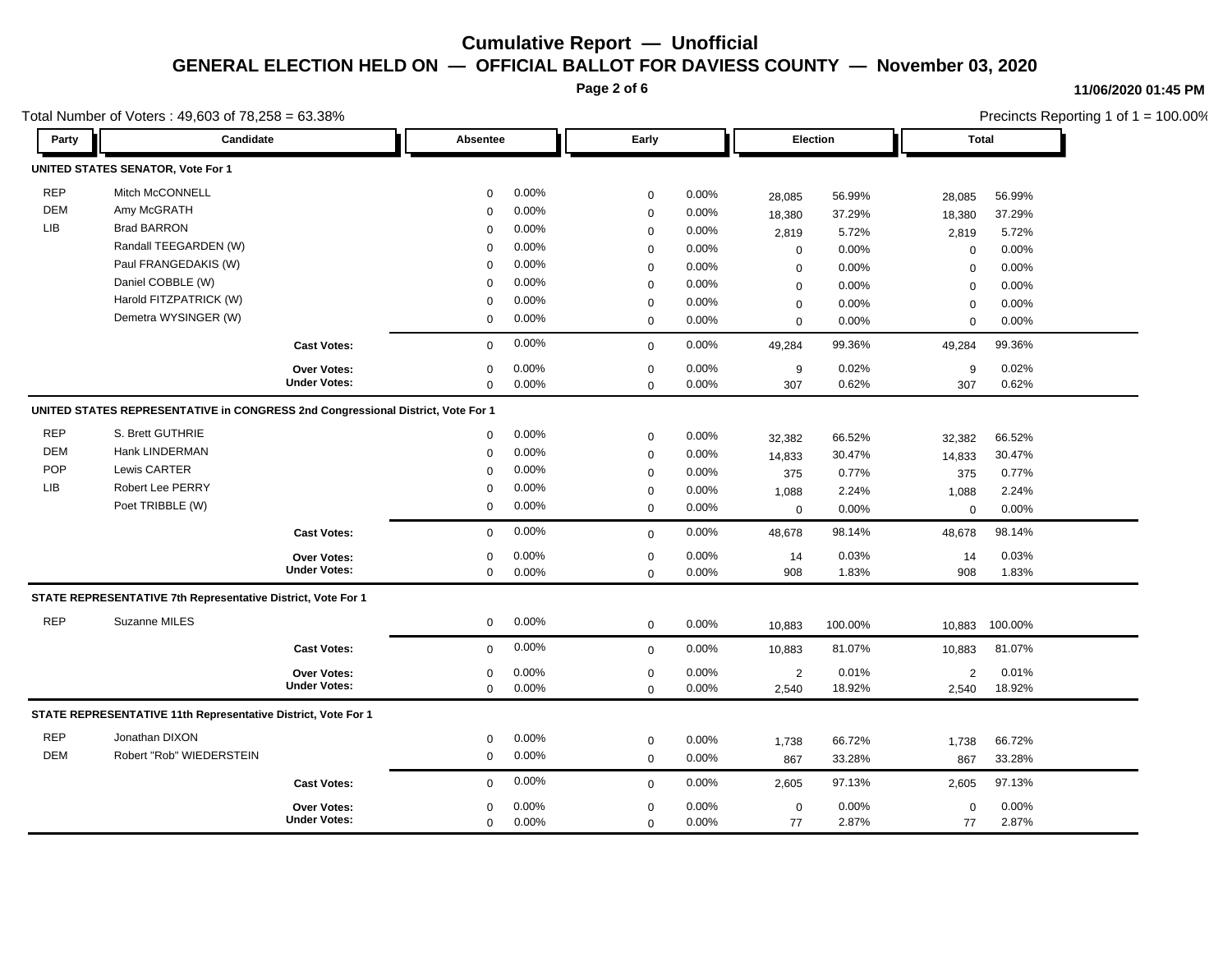**Page 2 of 6**

#### **11/06/2020 01:45 PM**

| Total Number of Voters: 49,603 of 78,258 = 63.38% |                                                                                 |                     |             |       |             |       |                |                 |                | Precincts Reporting 1 of 1 = 100.00% |  |  |
|---------------------------------------------------|---------------------------------------------------------------------------------|---------------------|-------------|-------|-------------|-------|----------------|-----------------|----------------|--------------------------------------|--|--|
| Party                                             | <b>Candidate</b>                                                                |                     | Absentee    |       | Early       |       |                | <b>Election</b> |                | Total                                |  |  |
|                                                   | <b>UNITED STATES SENATOR, Vote For 1</b>                                        |                     |             |       |             |       |                |                 |                |                                      |  |  |
| <b>REP</b>                                        | Mitch McCONNELL                                                                 |                     | 0           | 0.00% | $\mathbf 0$ | 0.00% | 28,085         | 56.99%          | 28,085         | 56.99%                               |  |  |
| <b>DEM</b>                                        | Amy McGRATH                                                                     |                     | $\Omega$    | 0.00% | $\mathbf 0$ | 0.00% | 18,380         | 37.29%          | 18,380         | 37.29%                               |  |  |
| LIB                                               | <b>Brad BARRON</b>                                                              |                     | $\Omega$    | 0.00% | $\Omega$    | 0.00% | 2,819          | 5.72%           | 2,819          | 5.72%                                |  |  |
|                                                   | Randall TEEGARDEN (W)                                                           |                     | $\Omega$    | 0.00% | $\mathbf 0$ | 0.00% | $\mathbf 0$    | 0.00%           | $\mathbf 0$    | 0.00%                                |  |  |
|                                                   | Paul FRANGEDAKIS (W)                                                            |                     | $\Omega$    | 0.00% | $\mathbf 0$ | 0.00% | $\mathbf 0$    | 0.00%           | $\mathbf 0$    | 0.00%                                |  |  |
|                                                   | Daniel COBBLE (W)                                                               |                     | 0           | 0.00% | $\mathbf 0$ | 0.00% | $\mathbf 0$    | 0.00%           | $\mathbf 0$    | 0.00%                                |  |  |
|                                                   | Harold FITZPATRICK (W)                                                          |                     | $\Omega$    | 0.00% | $\mathbf 0$ | 0.00% | $\mathbf 0$    | 0.00%           | $\mathbf 0$    | 0.00%                                |  |  |
|                                                   | Demetra WYSINGER (W)                                                            |                     | $\mathbf 0$ | 0.00% | $\mathbf 0$ | 0.00% | $\mathbf 0$    | 0.00%           | $\mathbf 0$    | 0.00%                                |  |  |
|                                                   |                                                                                 | <b>Cast Votes:</b>  | 0           | 0.00% | $\mathbf 0$ | 0.00% | 49,284         | 99.36%          | 49,284         | 99.36%                               |  |  |
|                                                   |                                                                                 | <b>Over Votes:</b>  | $\Omega$    | 0.00% | $\mathbf 0$ | 0.00% | 9              | 0.02%           | 9              | 0.02%                                |  |  |
|                                                   |                                                                                 | <b>Under Votes:</b> | $\mathbf 0$ | 0.00% | $\mathbf 0$ | 0.00% | 307            | 0.62%           | 307            | 0.62%                                |  |  |
|                                                   | UNITED STATES REPRESENTATIVE in CONGRESS 2nd Congressional District, Vote For 1 |                     |             |       |             |       |                |                 |                |                                      |  |  |
| <b>REP</b>                                        | S. Brett GUTHRIE                                                                |                     | 0           | 0.00% | $\mathbf 0$ | 0.00% | 32,382         | 66.52%          | 32,382         | 66.52%                               |  |  |
| <b>DEM</b>                                        | Hank LINDERMAN                                                                  |                     | $\Omega$    | 0.00% | $\mathbf 0$ | 0.00% | 14,833         | 30.47%          | 14,833         | 30.47%                               |  |  |
| POP                                               | Lewis CARTER                                                                    |                     | $\Omega$    | 0.00% | $\mathbf 0$ | 0.00% | 375            | 0.77%           | 375            | 0.77%                                |  |  |
| <b>LIB</b>                                        | <b>Robert Lee PERRY</b>                                                         |                     | $\Omega$    | 0.00% | $\mathbf 0$ | 0.00% | 1,088          | 2.24%           | 1,088          | 2.24%                                |  |  |
|                                                   | Poet TRIBBLE (W)                                                                |                     | 0           | 0.00% | $\mathbf 0$ | 0.00% | $\mathbf 0$    | 0.00%           | $\mathbf 0$    | 0.00%                                |  |  |
|                                                   |                                                                                 | <b>Cast Votes:</b>  | $\mathbf 0$ | 0.00% | $\Omega$    | 0.00% | 48,678         | 98.14%          | 48,678         | 98.14%                               |  |  |
|                                                   |                                                                                 | <b>Over Votes:</b>  | 0           | 0.00% | 0           | 0.00% | 14             | 0.03%           | 14             | 0.03%                                |  |  |
|                                                   |                                                                                 | <b>Under Votes:</b> | $\mathbf 0$ | 0.00% | $\mathbf 0$ | 0.00% | 908            | 1.83%           | 908            | 1.83%                                |  |  |
|                                                   | STATE REPRESENTATIVE 7th Representative District, Vote For 1                    |                     |             |       |             |       |                |                 |                |                                      |  |  |
| <b>REP</b>                                        | Suzanne MILES                                                                   |                     | 0           | 0.00% | $\mathbf 0$ | 0.00% | 10,883         | 100.00%         | 10,883         | 100.00%                              |  |  |
|                                                   |                                                                                 | <b>Cast Votes:</b>  | 0           | 0.00% | $\mathbf 0$ | 0.00% | 10,883         | 81.07%          | 10,883         | 81.07%                               |  |  |
|                                                   |                                                                                 | Over Votes:         | 0           | 0.00% | $\mathbf 0$ | 0.00% | $\overline{2}$ | 0.01%           | $\overline{2}$ | 0.01%                                |  |  |
|                                                   |                                                                                 | <b>Under Votes:</b> | 0           | 0.00% | $\mathbf 0$ | 0.00% | 2,540          | 18.92%          | 2,540          | 18.92%                               |  |  |
|                                                   | STATE REPRESENTATIVE 11th Representative District, Vote For 1                   |                     |             |       |             |       |                |                 |                |                                      |  |  |
| <b>REP</b>                                        | Jonathan DIXON                                                                  |                     | 0           | 0.00% | $\mathbf 0$ | 0.00% | 1,738          | 66.72%          | 1,738          | 66.72%                               |  |  |
| <b>DEM</b>                                        | Robert "Rob" WIEDERSTEIN                                                        |                     | $\mathbf 0$ | 0.00% | $\mathbf 0$ | 0.00% | 867            | 33.28%          | 867            | 33.28%                               |  |  |
|                                                   |                                                                                 | <b>Cast Votes:</b>  | $\mathbf 0$ | 0.00% | $\mathbf 0$ | 0.00% | 2,605          | 97.13%          | 2,605          | 97.13%                               |  |  |
|                                                   |                                                                                 | <b>Over Votes:</b>  | $\mathbf 0$ | 0.00% | $\mathbf 0$ | 0.00% | $\pmb{0}$      | 0.00%           | $\mathbf 0$    | 0.00%                                |  |  |
|                                                   |                                                                                 | <b>Under Votes:</b> | $\mathbf 0$ | 0.00% | $\mathbf 0$ | 0.00% | 77             | 2.87%           | 77             | 2.87%                                |  |  |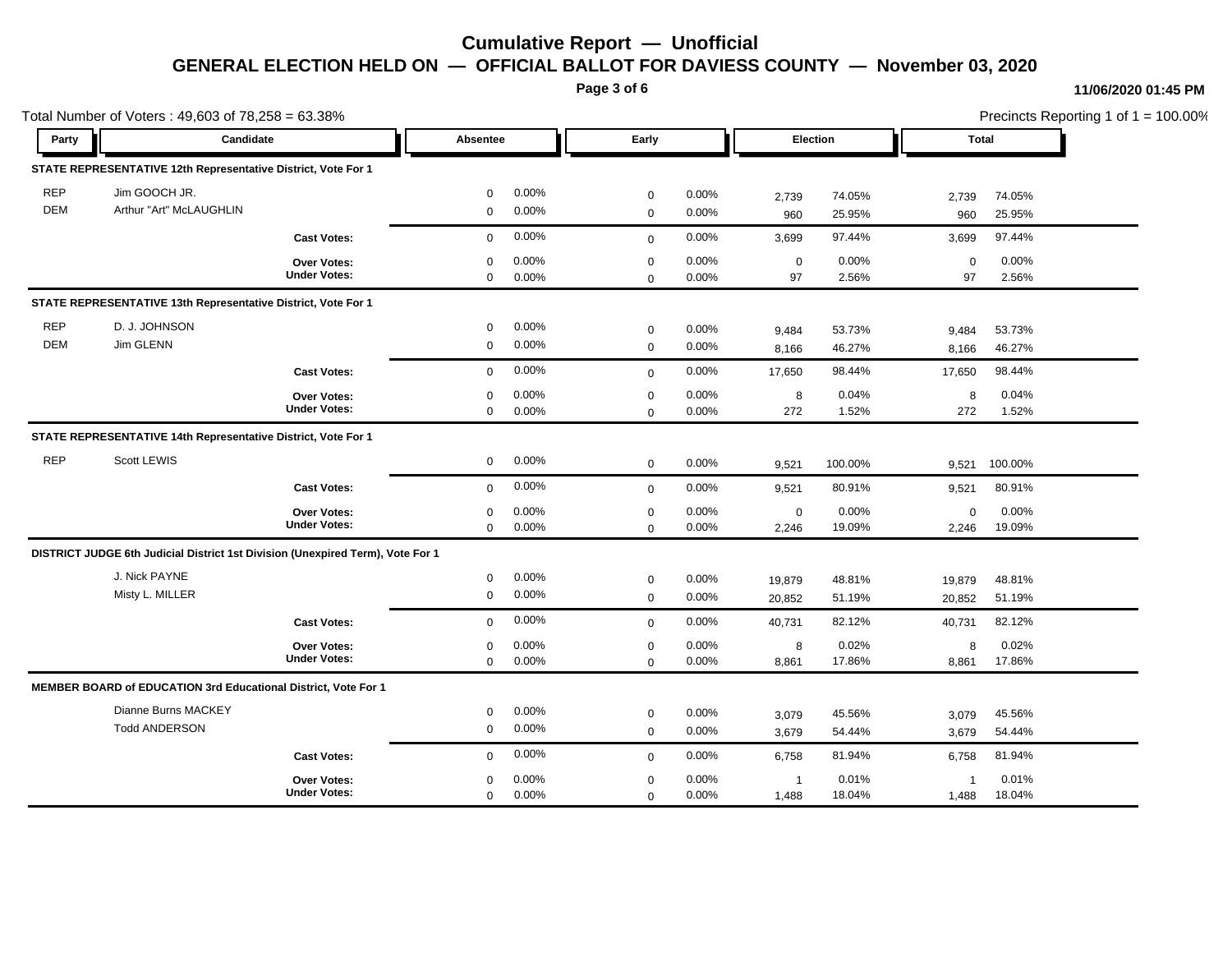**Page 3 of 6**

#### **11/06/2020 01:45 PM**

Precincts Reporting 1 of 1 = 100.00%

| Total Number of Voters: 49,603 of 78,258 = 63.38% |                                                                                |                                           |                  |                |                            |                |                   |                |                   | Precincts Reporting 1 of 1 = 100.00% |  |
|---------------------------------------------------|--------------------------------------------------------------------------------|-------------------------------------------|------------------|----------------|----------------------------|----------------|-------------------|----------------|-------------------|--------------------------------------|--|
| Party                                             | Candidate                                                                      |                                           | Absentee         |                | Early                      |                | Election          |                | Total             |                                      |  |
|                                                   | STATE REPRESENTATIVE 12th Representative District, Vote For 1                  |                                           |                  |                |                            |                |                   |                |                   |                                      |  |
| <b>REP</b>                                        | Jim GOOCH JR.                                                                  |                                           | $\mathbf 0$      | 0.00%          | $\mathbf 0$                | 0.00%          | 2,739             | 74.05%         | 2,739             | 74.05%                               |  |
| <b>DEM</b>                                        | Arthur "Art" McLAUGHLIN                                                        |                                           | 0                | 0.00%          | $\mathbf 0$                | 0.00%          | 960               | 25.95%         | 960               | 25.95%                               |  |
|                                                   |                                                                                | <b>Cast Votes:</b>                        | 0                | 0.00%          | $\mathbf 0$                | 0.00%          | 3,699             | 97.44%         | 3,699             | 97.44%                               |  |
|                                                   |                                                                                | <b>Over Votes:</b><br><b>Under Votes:</b> | $\mathbf 0$<br>0 | 0.00%<br>0.00% | $\mathbf 0$<br>$\mathbf 0$ | 0.00%<br>0.00% | $\mathbf 0$<br>97 | 0.00%<br>2.56% | $\mathbf 0$<br>97 | 0.00%<br>2.56%                       |  |
|                                                   | STATE REPRESENTATIVE 13th Representative District, Vote For 1                  |                                           |                  |                |                            |                |                   |                |                   |                                      |  |
| <b>REP</b>                                        | D. J. JOHNSON                                                                  |                                           | $\mathbf 0$      | 0.00%          | $\mathbf 0$                | 0.00%          | 9,484             | 53.73%         | 9.484             | 53.73%                               |  |
| <b>DEM</b>                                        | Jim GLENN                                                                      |                                           | $\mathsf 0$      | 0.00%          | $\mathbf 0$                | 0.00%          | 8,166             | 46.27%         | 8,166             | 46.27%                               |  |
|                                                   |                                                                                | <b>Cast Votes:</b>                        | $\mathbf 0$      | 0.00%          | $\mathbf 0$                | 0.00%          | 17,650            | 98.44%         | 17,650            | 98.44%                               |  |
|                                                   |                                                                                | Over Votes:                               | $\Omega$         | 0.00%          | $\mathbf 0$                | 0.00%          | 8                 | 0.04%          | 8                 | 0.04%                                |  |
|                                                   |                                                                                | <b>Under Votes:</b>                       | $\mathbf 0$      | 0.00%          | $\mathbf 0$                | 0.00%          | 272               | 1.52%          | 272               | 1.52%                                |  |
|                                                   | STATE REPRESENTATIVE 14th Representative District, Vote For 1                  |                                           |                  |                |                            |                |                   |                |                   |                                      |  |
| <b>REP</b>                                        | Scott LEWIS                                                                    |                                           | $\mathbf 0$      | 0.00%          | $\mathbf 0$                | 0.00%          | 9,521             | 100.00%        | 9,521             | 100.00%                              |  |
|                                                   |                                                                                | <b>Cast Votes:</b>                        | $\mathbf 0$      | 0.00%          | $\mathbf 0$                | 0.00%          | 9,521             | 80.91%         | 9,521             | 80.91%                               |  |
|                                                   |                                                                                | <b>Over Votes:</b>                        | $\mathbf 0$      | 0.00%          | $\mathbf 0$                | 0.00%          | $\pmb{0}$         | 0.00%          | $\mathbf 0$       | 0.00%                                |  |
|                                                   |                                                                                | <b>Under Votes:</b>                       | $\mathbf 0$      | 0.00%          | $\Omega$                   | 0.00%          | 2,246             | 19.09%         | 2,246             | 19.09%                               |  |
|                                                   | DISTRICT JUDGE 6th Judicial District 1st Division (Unexpired Term), Vote For 1 |                                           |                  |                |                            |                |                   |                |                   |                                      |  |
|                                                   | J. Nick PAYNE                                                                  |                                           | 0                | 0.00%          | $\mathbf 0$                | 0.00%          | 19,879            | 48.81%         | 19,879            | 48.81%                               |  |
|                                                   | Misty L. MILLER                                                                |                                           | $\mathbf 0$      | 0.00%          | $\mathbf 0$                | 0.00%          | 20,852            | 51.19%         | 20,852            | 51.19%                               |  |
|                                                   |                                                                                | <b>Cast Votes:</b>                        | $\mathbf 0$      | 0.00%          | $\mathbf 0$                | 0.00%          | 40,731            | 82.12%         | 40,731            | 82.12%                               |  |
|                                                   |                                                                                | <b>Over Votes:</b>                        | 0                | 0.00%          | $\mathbf 0$                | 0.00%          | 8                 | 0.02%          | 8                 | 0.02%                                |  |
|                                                   |                                                                                | <b>Under Votes:</b>                       | $\mathbf 0$      | 0.00%          | $\mathbf 0$                | 0.00%          | 8,861             | 17.86%         | 8,861             | 17.86%                               |  |
|                                                   | MEMBER BOARD of EDUCATION 3rd Educational District, Vote For 1                 |                                           |                  |                |                            |                |                   |                |                   |                                      |  |
|                                                   | Dianne Burns MACKEY                                                            |                                           | 0                | 0.00%          | $\mathbf 0$                | 0.00%          | 3,079             | 45.56%         | 3,079             | 45.56%                               |  |
|                                                   | <b>Todd ANDERSON</b>                                                           |                                           | $\mathbf 0$      | 0.00%          | $\mathbf 0$                | 0.00%          | 3,679             | 54.44%         | 3,679             | 54.44%                               |  |
|                                                   |                                                                                | <b>Cast Votes:</b>                        | $\mathbf 0$      | 0.00%          | $\mathbf 0$                | 0.00%          | 6,758             | 81.94%         | 6,758             | 81.94%                               |  |
|                                                   |                                                                                | <b>Over Votes:</b>                        | $\Omega$         | 0.00%          | $\mathbf 0$                | 0.00%          | $\overline{1}$    | 0.01%          | $\overline{1}$    | 0.01%                                |  |
|                                                   |                                                                                | <b>Under Votes:</b>                       | $\mathbf 0$      | 0.00%          | $\mathbf 0$                | 0.00%          | 1,488             | 18.04%         | 1,488             | 18.04%                               |  |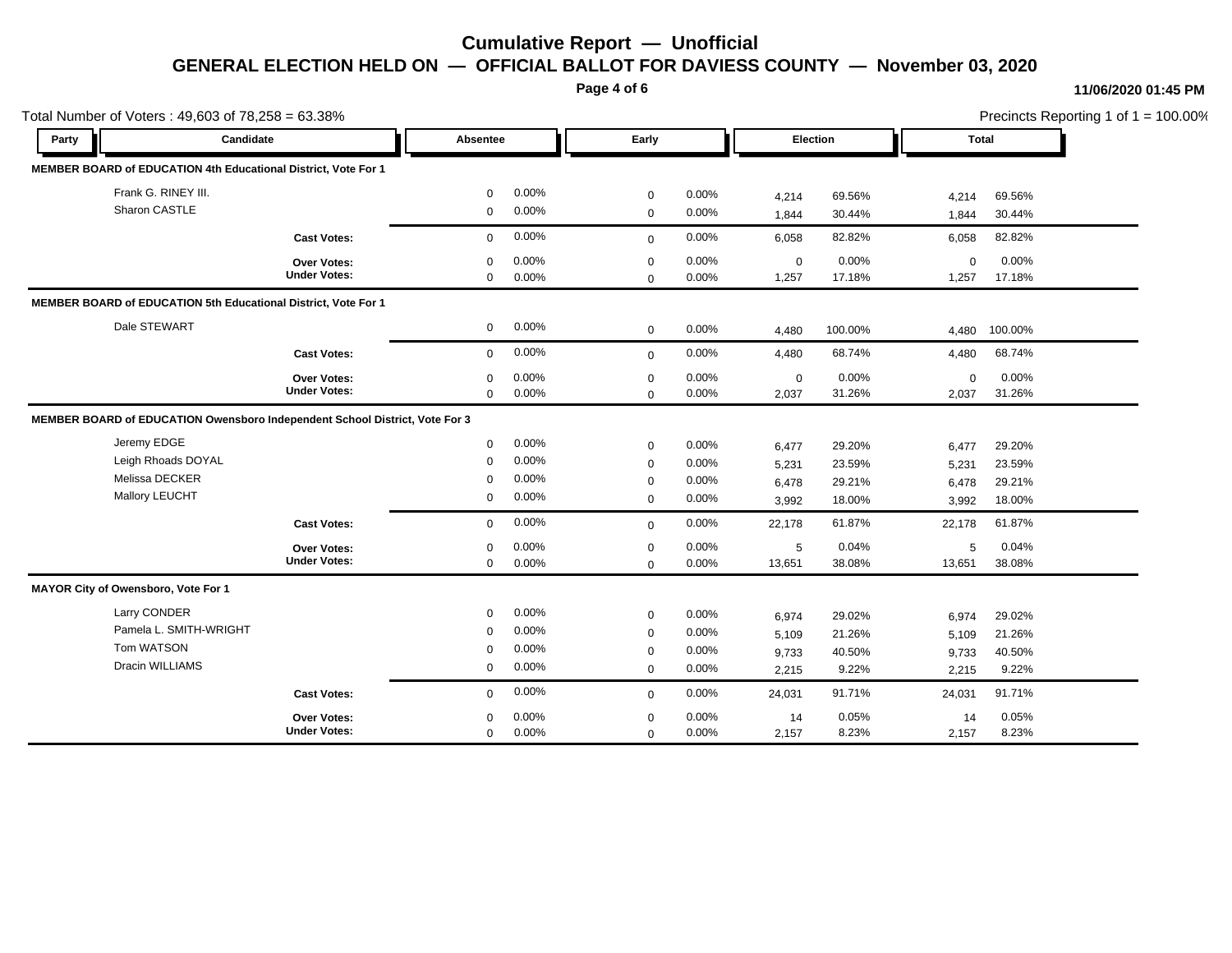**Page 4 of 6**

### **11/06/2020 01:45 PM**

| Total Number of Voters: 49,603 of 78,258 = 63.38% |                                                                             |                     |              |       |              |       |             |         |              | Precincts Reporting 1 of 1 = 100.00% |  |
|---------------------------------------------------|-----------------------------------------------------------------------------|---------------------|--------------|-------|--------------|-------|-------------|---------|--------------|--------------------------------------|--|
| Party                                             | Candidate                                                                   |                     | Absentee     |       | Early        |       | Election    |         | <b>Total</b> |                                      |  |
|                                                   | MEMBER BOARD of EDUCATION 4th Educational District, Vote For 1              |                     |              |       |              |       |             |         |              |                                      |  |
|                                                   | Frank G. RINEY III.                                                         |                     | $\Omega$     | 0.00% | $\mathbf 0$  | 0.00% | 4,214       | 69.56%  | 4,214        | 69.56%                               |  |
|                                                   | Sharon CASTLE                                                               |                     | $\mathbf 0$  | 0.00% | $\mathbf 0$  | 0.00% | 1,844       | 30.44%  | 1,844        | 30.44%                               |  |
|                                                   |                                                                             | <b>Cast Votes:</b>  | $\mathbf 0$  | 0.00% | $\mathbf 0$  | 0.00% | 6,058       | 82.82%  | 6,058        | 82.82%                               |  |
|                                                   |                                                                             | Over Votes:         | $\mathbf 0$  | 0.00% | $\mathbf 0$  | 0.00% | $\mathbf 0$ | 0.00%   | $\mathbf 0$  | 0.00%                                |  |
|                                                   |                                                                             | <b>Under Votes:</b> | $\mathbf 0$  | 0.00% | $\mathbf 0$  | 0.00% | 1,257       | 17.18%  | 1,257        | 17.18%                               |  |
|                                                   | MEMBER BOARD of EDUCATION 5th Educational District, Vote For 1              |                     |              |       |              |       |             |         |              |                                      |  |
|                                                   | Dale STEWART                                                                |                     | $\mathbf 0$  | 0.00% | $\mathbf 0$  | 0.00% | 4,480       | 100.00% | 4,480        | 100.00%                              |  |
|                                                   |                                                                             | <b>Cast Votes:</b>  | $\mathbf{0}$ | 0.00% | $\mathbf{0}$ | 0.00% | 4,480       | 68.74%  | 4,480        | 68.74%                               |  |
|                                                   |                                                                             | Over Votes:         | $\mathbf 0$  | 0.00% | $\mathbf 0$  | 0.00% | $\mathbf 0$ | 0.00%   | $\mathbf 0$  | 0.00%                                |  |
|                                                   |                                                                             | <b>Under Votes:</b> | $\mathbf 0$  | 0.00% | $\mathbf 0$  | 0.00% | 2,037       | 31.26%  | 2,037        | 31.26%                               |  |
|                                                   | MEMBER BOARD of EDUCATION Owensboro Independent School District, Vote For 3 |                     |              |       |              |       |             |         |              |                                      |  |
|                                                   | Jeremy EDGE                                                                 |                     | $\mathbf 0$  | 0.00% | $\mathbf 0$  | 0.00% | 6,477       | 29.20%  | 6,477        | 29.20%                               |  |
|                                                   | Leigh Rhoads DOYAL                                                          |                     | $\Omega$     | 0.00% | $\mathbf 0$  | 0.00% | 5,231       | 23.59%  | 5,231        | 23.59%                               |  |
|                                                   | Melissa DECKER                                                              |                     | $\mathbf 0$  | 0.00% | $\mathbf 0$  | 0.00% | 6,478       | 29.21%  | 6,478        | 29.21%                               |  |
|                                                   | Mallory LEUCHT                                                              |                     | $\mathbf 0$  | 0.00% | $\mathbf 0$  | 0.00% | 3,992       | 18.00%  | 3,992        | 18.00%                               |  |
|                                                   |                                                                             | <b>Cast Votes:</b>  | $\mathbf 0$  | 0.00% | $\mathbf 0$  | 0.00% | 22,178      | 61.87%  | 22,178       | 61.87%                               |  |
|                                                   |                                                                             | Over Votes:         | $\mathbf 0$  | 0.00% | $\mathbf 0$  | 0.00% | $\sqrt{5}$  | 0.04%   | 5            | 0.04%                                |  |
|                                                   |                                                                             | <b>Under Votes:</b> | $\mathbf 0$  | 0.00% | $\mathbf 0$  | 0.00% | 13,651      | 38.08%  | 13,651       | 38.08%                               |  |
|                                                   | MAYOR City of Owensboro, Vote For 1                                         |                     |              |       |              |       |             |         |              |                                      |  |
|                                                   | Larry CONDER                                                                |                     | $\mathbf 0$  | 0.00% | $\mathbf 0$  | 0.00% | 6,974       | 29.02%  | 6,974        | 29.02%                               |  |
|                                                   | Pamela L. SMITH-WRIGHT                                                      |                     | $\mathbf 0$  | 0.00% | $\mathbf 0$  | 0.00% | 5,109       | 21.26%  | 5,109        | 21.26%                               |  |
|                                                   | Tom WATSON                                                                  |                     | $\Omega$     | 0.00% | $\mathbf 0$  | 0.00% | 9,733       | 40.50%  | 9,733        | 40.50%                               |  |
|                                                   | Dracin WILLIAMS                                                             |                     | 0            | 0.00% | $\mathbf 0$  | 0.00% | 2,215       | 9.22%   | 2,215        | 9.22%                                |  |
|                                                   |                                                                             | <b>Cast Votes:</b>  | $\Omega$     | 0.00% | $\mathbf{0}$ | 0.00% | 24,031      | 91.71%  | 24,031       | 91.71%                               |  |
|                                                   |                                                                             | Over Votes:         | $\Omega$     | 0.00% | $\pmb{0}$    | 0.00% | 14          | 0.05%   | 14           | 0.05%                                |  |
|                                                   |                                                                             | <b>Under Votes:</b> | $\mathbf 0$  | 0.00% | $\mathbf 0$  | 0.00% | 2,157       | 8.23%   | 2,157        | 8.23%                                |  |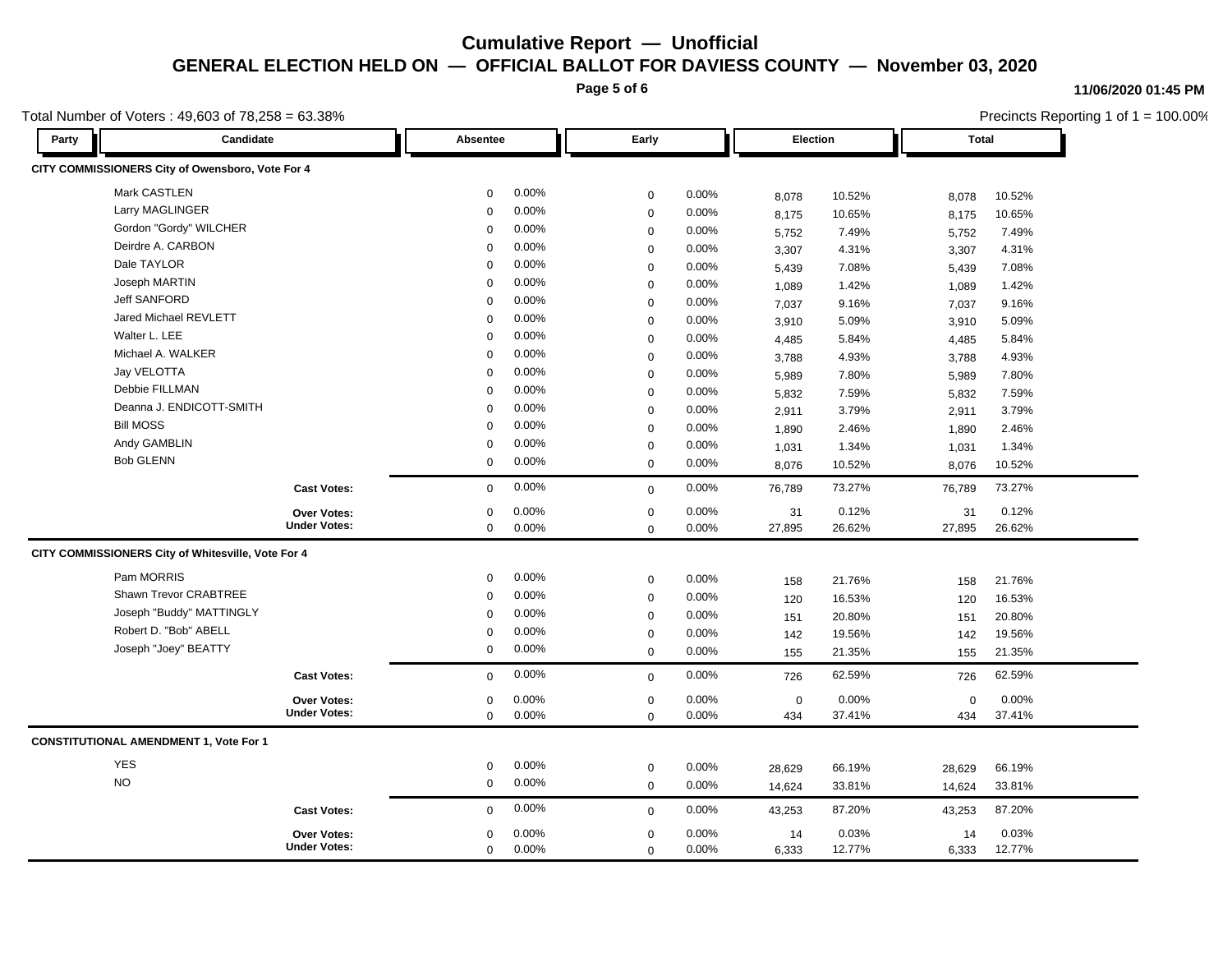**Page 5 of 6**

#### **11/06/2020 01:45 PM**

|       | Total Number of Voters: 49,603 of 78,258 = 63.38%  |                     |             |          |             |          |             |        | Precincts Reporting 1 of 1 = 100.00% |        |  |
|-------|----------------------------------------------------|---------------------|-------------|----------|-------------|----------|-------------|--------|--------------------------------------|--------|--|
| Party | Candidate                                          |                     | Absentee    |          | Early       |          | Election    |        | Total                                |        |  |
|       | CITY COMMISSIONERS City of Owensboro, Vote For 4   |                     |             |          |             |          |             |        |                                      |        |  |
|       | Mark CASTLEN                                       |                     | 0           | $0.00\%$ | $\mathbf 0$ | 0.00%    | 8,078       | 10.52% | 8,078                                | 10.52% |  |
|       | Larry MAGLINGER                                    |                     | $\mathbf 0$ | 0.00%    | $\mathbf 0$ | 0.00%    | 8,175       | 10.65% | 8,175                                | 10.65% |  |
|       | Gordon "Gordy" WILCHER                             |                     | 0           | 0.00%    | $\mathbf 0$ | 0.00%    | 5,752       | 7.49%  | 5,752                                | 7.49%  |  |
|       | Deirdre A. CARBON                                  |                     | $\mathbf 0$ | 0.00%    | $\mathbf 0$ | 0.00%    | 3,307       | 4.31%  | 3,307                                | 4.31%  |  |
|       | Dale TAYLOR                                        |                     | $\mathbf 0$ | 0.00%    | $\Omega$    | 0.00%    | 5,439       | 7.08%  | 5,439                                | 7.08%  |  |
|       | Joseph MARTIN                                      |                     | $\mathbf 0$ | 0.00%    | $\mathbf 0$ | 0.00%    | 1,089       | 1.42%  | 1,089                                | 1.42%  |  |
|       | <b>Jeff SANFORD</b>                                |                     | $\mathbf 0$ | 0.00%    | $\mathbf 0$ | 0.00%    | 7,037       | 9.16%  | 7,037                                | 9.16%  |  |
|       | Jared Michael REVLETT                              |                     | $\mathbf 0$ | 0.00%    | $\mathbf 0$ | 0.00%    | 3,910       | 5.09%  | 3,910                                | 5.09%  |  |
|       | Walter L. LEE                                      |                     | $\Omega$    | $0.00\%$ | $\mathbf 0$ | 0.00%    | 4,485       | 5.84%  | 4,485                                | 5.84%  |  |
|       | Michael A. WALKER                                  |                     | $\Omega$    | 0.00%    | $\Omega$    | 0.00%    | 3,788       | 4.93%  | 3,788                                | 4.93%  |  |
|       | Jay VELOTTA                                        |                     | $\mathbf 0$ | $0.00\%$ | $\mathbf 0$ | 0.00%    | 5,989       | 7.80%  | 5,989                                | 7.80%  |  |
|       | Debbie FILLMAN                                     |                     | $\mathbf 0$ | 0.00%    | $\mathbf 0$ | 0.00%    | 5,832       | 7.59%  | 5,832                                | 7.59%  |  |
|       | Deanna J. ENDICOTT-SMITH                           |                     | $\mathbf 0$ | 0.00%    | $\mathbf 0$ | 0.00%    | 2,911       | 3.79%  | 2,911                                | 3.79%  |  |
|       | <b>Bill MOSS</b>                                   |                     | $\Omega$    | 0.00%    | $\mathbf 0$ | 0.00%    | 1,890       | 2.46%  | 1,890                                | 2.46%  |  |
|       | Andy GAMBLIN                                       |                     | $\mathbf 0$ | 0.00%    | $\mathbf 0$ | 0.00%    | 1,031       | 1.34%  | 1,031                                | 1.34%  |  |
|       | <b>Bob GLENN</b>                                   |                     | 0           | $0.00\%$ | $\mathbf 0$ | 0.00%    | 8,076       | 10.52% | 8,076                                | 10.52% |  |
|       |                                                    | <b>Cast Votes:</b>  | $\mathbf 0$ | 0.00%    | $\mathbf 0$ | 0.00%    | 76,789      | 73.27% | 76,789                               | 73.27% |  |
|       |                                                    | <b>Over Votes:</b>  | 0           | 0.00%    | 0           | 0.00%    | 31          | 0.12%  | 31                                   | 0.12%  |  |
|       |                                                    | <b>Under Votes:</b> | 0           | 0.00%    | $\mathbf 0$ | 0.00%    | 27,895      | 26.62% | 27,895                               | 26.62% |  |
|       | CITY COMMISSIONERS City of Whitesville, Vote For 4 |                     |             |          |             |          |             |        |                                      |        |  |
|       | Pam MORRIS                                         |                     | $\mathbf 0$ | 0.00%    | 0           | 0.00%    | 158         | 21.76% | 158                                  | 21.76% |  |
|       | Shawn Trevor CRABTREE                              |                     | $\Omega$    | 0.00%    | $\mathbf 0$ | 0.00%    | 120         | 16.53% | 120                                  | 16.53% |  |
|       | Joseph "Buddy" MATTINGLY                           |                     | $\mathbf 0$ | 0.00%    | $\mathbf 0$ | $0.00\%$ | 151         | 20.80% | 151                                  | 20.80% |  |
|       | Robert D. "Bob" ABELL                              |                     | $\mathbf 0$ | 0.00%    | $\mathbf 0$ | 0.00%    | 142         | 19.56% | 142                                  | 19.56% |  |
|       | Joseph "Joey" BEATTY                               |                     | 0           | 0.00%    | $\mathbf 0$ | 0.00%    | 155         | 21.35% | 155                                  | 21.35% |  |
|       |                                                    | <b>Cast Votes:</b>  | $\Omega$    | 0.00%    | $\mathbf 0$ | 0.00%    | 726         | 62.59% | 726                                  | 62.59% |  |
|       |                                                    | <b>Over Votes:</b>  | 0           | 0.00%    | $\mathbf 0$ | 0.00%    | $\mathbf 0$ | 0.00%  | $\mathbf 0$                          | 0.00%  |  |
|       |                                                    | <b>Under Votes:</b> | $\mathbf 0$ | $0.00\%$ | $\mathbf 0$ | 0.00%    | 434         | 37.41% | 434                                  | 37.41% |  |
|       | <b>CONSTITUTIONAL AMENDMENT 1, Vote For 1</b>      |                     |             |          |             |          |             |        |                                      |        |  |
|       | <b>YES</b>                                         |                     | 0           | $0.00\%$ | $\mathbf 0$ | 0.00%    | 28,629      | 66.19% | 28,629                               | 66.19% |  |
|       | <b>NO</b>                                          |                     | $\mathbf 0$ | $0.00\%$ | $\mathbf 0$ | 0.00%    | 14,624      | 33.81% | 14,624                               | 33.81% |  |
|       |                                                    | <b>Cast Votes:</b>  | 0           | 0.00%    | $\mathbf 0$ | $0.00\%$ | 43,253      | 87.20% | 43,253                               | 87.20% |  |
|       |                                                    | Over Votes:         | $\mathbf 0$ | 0.00%    | $\mathbf 0$ | 0.00%    | 14          | 0.03%  | 14                                   | 0.03%  |  |
|       |                                                    | <b>Under Votes:</b> | $\mathbf 0$ | 0.00%    | $\mathbf 0$ | 0.00%    | 6,333       | 12.77% | 6,333                                | 12.77% |  |